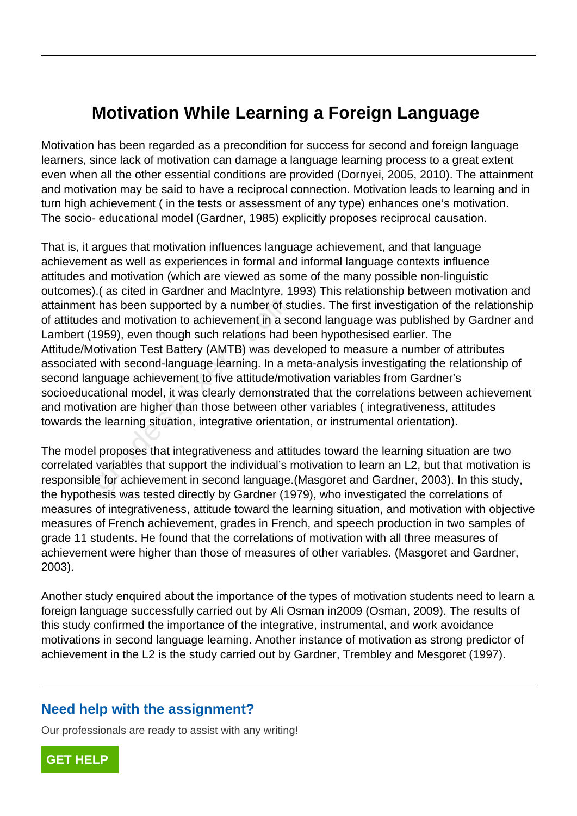## **Motivation While Learning a Foreign Language**

Motivation has been regarded as a precondition for success for second and foreign language learners, since lack of motivation can damage a language learning process to a great extent even when all the other essential conditions are provided (Dornyei, 2005, 2010). The attainment and motivation may be said to have a reciprocal connection. Motivation leads to learning and in turn high achievement ( in the tests or assessment of any type) enhances one's motivation. The socio- educational model (Gardner, 1985) explicitly proposes reciprocal causation.

That is, it argues that motivation influences language achievement, and that language achievement as well as experiences in formal and informal language contexts influence attitudes and motivation (which are viewed as some of the many possible non-linguistic outcomes).( as cited in Gardner and Maclntyre, 1993) This relationship between motivation and attainment has been supported by a number of studies. The first investigation of the relationship of attitudes and motivation to achievement in a second language was published by Gardner and Lambert (1959), even though such relations had been hypothesised earlier. The Attitude/Motivation Test Battery (AMTB) was developed to measure a number of attributes associated with second-language learning. In a meta-analysis investigating the relationship of second language achievement to five attitude/motivation variables from Gardner's socioeducational model, it was clearly demonstrated that the correlations between achievement and motivation are higher than those between other variables ( integrativeness, attitudes towards the learning situation, integrative orientation, or instrumental orientation). I has been supported by a number of st<br>
is and motivation to achievement in a se<br>
1959), even though such relations had<br>
otivation Test Battery (AMTB) was dev<br>
I with second-language learning. In a n<br>
nguage achievement to

The model proposes that integrativeness and attitudes toward the learning situation are two correlated variables that support the individual's motivation to learn an L2, but that motivation is responsible for achievement in second language.(Masgoret and Gardner, 2003). In this study, the hypothesis was tested directly by Gardner (1979), who investigated the correlations of measures of integrativeness, attitude toward the learning situation, and motivation with objective measures of French achievement, grades in French, and speech production in two samples of grade 11 students. He found that the correlations of motivation with all three measures of achievement were higher than those of measures of other variables. (Masgoret and Gardner, 2003).

Another study enquired about the importance of the types of motivation students need to learn a foreign language successfully carried out by Ali Osman in2009 (Osman, 2009). The results of this study confirmed the importance of the integrative, instrumental, and work avoidance motivations in second language learning. Another instance of motivation as strong predictor of achievement in the L2 is the study carried out by Gardner, Trembley and Mesgoret (1997).

## **Need help with the assignment?**

Our professionals are ready to assist with any writing!